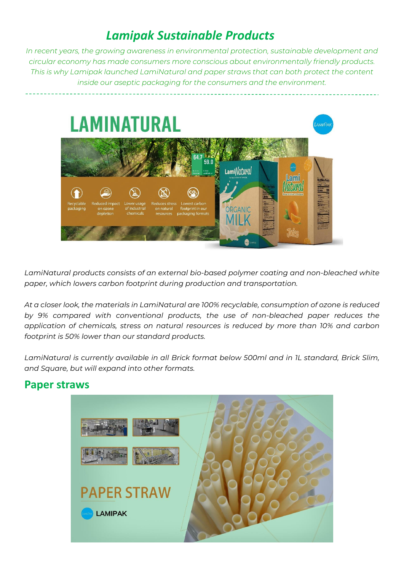## *Lamipak Sustainable Products*

*In recent years, the growing awareness in environmental protection, sustainable development and circular economy has made consumers more conscious about environmentally friendly products. This is why Lamipak launched LamiNatural and paper straws that can both protect the content inside our aseptic packaging for the consumers and the environment.*



*LamiNatural products consists of an external bio-based polymer coating and non-bleached white paper, which lowers carbon footprint during production and transportation.* 

*At a closer look, the materials in LamiNatural are 100% recyclable, consumption of ozone is reduced by 9% compared with conventional products, the use of non-bleached paper reduces the application of chemicals, stress on natural resources is reduced by more than 10% and carbon footprint is 50% lower than our standard products.*

*LamiNatural is currently available in all Brick format below 500ml and in 1L standard, Brick Slim, and Square, but will expand into other formats.*

## **Paper straws**